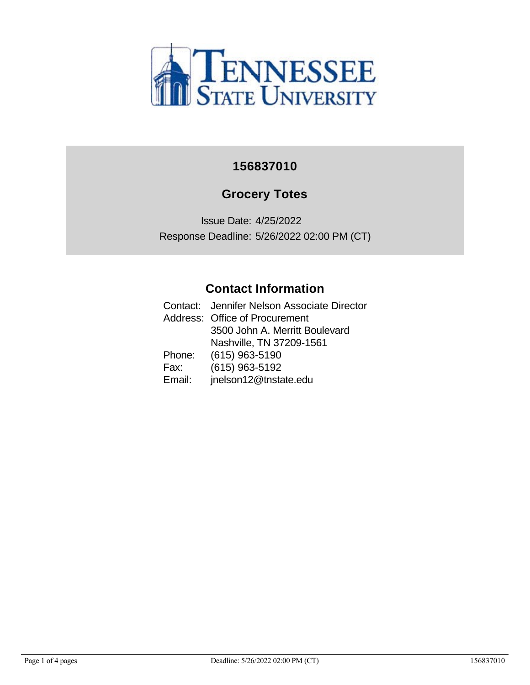

#### **156837010**

### **Grocery Totes**

Issue Date: 4/25/2022 Response Deadline: 5/26/2022 02:00 PM (CT)

#### **Contact Information**

|        | Contact: Jennifer Nelson Associate Director |
|--------|---------------------------------------------|
|        | Address: Office of Procurement              |
|        | 3500 John A. Merritt Boulevard              |
|        | Nashville, TN 37209-1561                    |
| Phone: | $(615)$ 963-5190                            |
| Fax:   | (615) 963-5192                              |
| Email: | jnelson12@tnstate.edu                       |
|        |                                             |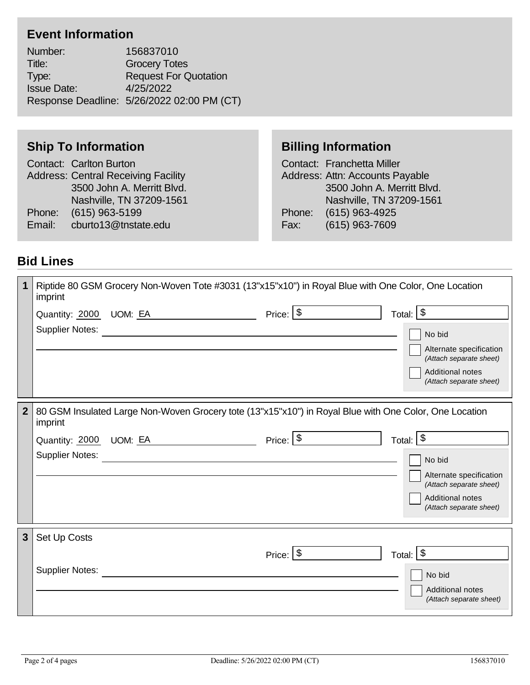## **Event Information**

Number: 156837010 Title: Grocery Totes Type: Request For Quotation Issue Date: 4/25/2022 Response Deadline: 5/26/2022 02:00 PM (CT)

#### **Ship To Information**

|                                            | Contact: Carlton Burton     |  |
|--------------------------------------------|-----------------------------|--|
| <b>Address: Central Receiving Facility</b> |                             |  |
|                                            | 3500 John A. Merritt Blvd.  |  |
|                                            | Nashville, TN 37209-1561    |  |
|                                            | Phone: (615) 963-5199       |  |
|                                            | Email: cburto13@tnstate.edu |  |
|                                            |                             |  |

### **Billing Information**

Contact: Franchetta Miller Address: Attn: Accounts Payable 3500 John A. Merritt Blvd. Nashville, TN 37209-1561 Phone: (615) 963-4925 Fax: (615) 963-7609

#### **Bid Lines**

|                | imprint                | Riptide 80 GSM Grocery Non-Woven Tote #3031 (13"x15"x10") in Royal Blue with One Color, One Location   |               |                                                    |
|----------------|------------------------|--------------------------------------------------------------------------------------------------------|---------------|----------------------------------------------------|
|                |                        | Quantity: 2000 UOM: EA                                                                                 | Price: $ $ \$ | Total: $\sqrt{$}$                                  |
|                | <b>Supplier Notes:</b> |                                                                                                        |               | No bid                                             |
|                |                        |                                                                                                        |               | Alternate specification<br>(Attach separate sheet) |
|                |                        |                                                                                                        |               | Additional notes<br>(Attach separate sheet)        |
| 2 <sup>2</sup> |                        |                                                                                                        |               |                                                    |
|                | imprint                | 80 GSM Insulated Large Non-Woven Grocery tote (13"x15"x10") in Royal Blue with One Color, One Location |               |                                                    |
|                |                        | Quantity: 2000 UOM: EA                                                                                 | Price: $ $ \$ | Total: $\frac{1}{3}$                               |
|                | <b>Supplier Notes:</b> |                                                                                                        |               | No bid                                             |
|                |                        |                                                                                                        |               | Alternate specification                            |
|                |                        |                                                                                                        |               | (Attach separate sheet)<br>Additional notes        |
|                |                        |                                                                                                        |               | (Attach separate sheet)                            |
| 3 <sup>5</sup> | Set Up Costs           |                                                                                                        |               |                                                    |
|                |                        |                                                                                                        | Price: $ $ \$ | Total: $\sqrt{$}$                                  |
|                | <b>Supplier Notes:</b> |                                                                                                        |               | No bid                                             |
|                |                        |                                                                                                        |               | Additional notes                                   |
|                |                        |                                                                                                        |               | (Attach separate sheet)                            |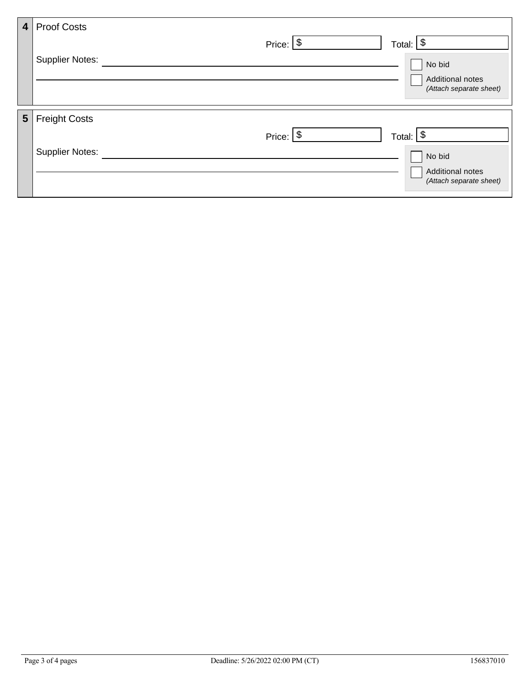| <b>Proof Costs</b><br>4 <sup>1</sup> |                                                           |
|--------------------------------------|-----------------------------------------------------------|
|                                      | \$<br>Price: $\sqrt{$}$<br>Total:                         |
| <b>Supplier Notes:</b>               | No bid                                                    |
|                                      | <b>Additional notes</b>                                   |
|                                      | (Attach separate sheet)                                   |
| 5 <sup>1</sup>                       |                                                           |
|                                      | $\boldsymbol{\mathsf{\$}}$<br>Price: $\sqrt{$}$<br>Total: |
| <b>Supplier Notes:</b>               | No bid                                                    |
|                                      | Additional notes                                          |
|                                      | (Attach separate sheet)                                   |
|                                      | <b>Freight Costs</b>                                      |